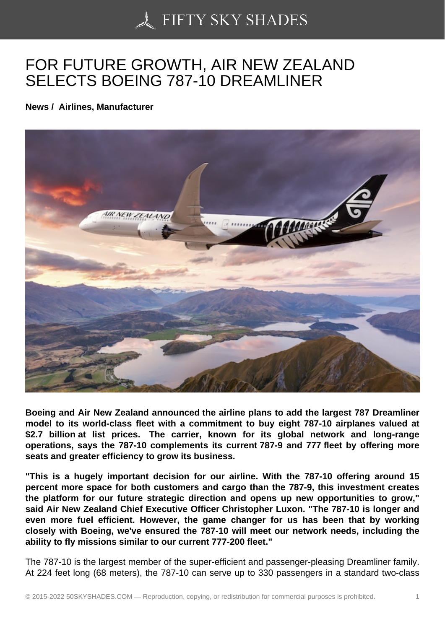## [FOR FUTURE GROWT](https://50skyshades.com)H, AIR NEW ZEALAND SELECTS BOEING 787-10 DREAMLINER

News / Airlines, Manufacturer

Boeing and Air New Zealand announced the airline plans to add the largest 787 Dreamliner model to its world-class fleet with a commitment to buy eight 787-10 airplanes valued at \$2.7 billion at list prices. The carrier, known for its global network and long-range operations, says the 787-10 complements its current 787-9 and 777 fleet by offering more seats and greater efficiency to grow its business.

"This is a hugely important decision for our airline. With the 787-10 offering around 15 percent more space for both customers and cargo than the 787-9, this investment creates the platform for our future strategic direction and opens up new opportunities to grow," said Air New Zealand Chief Executive Officer Christopher Luxon. "The 787-10 is longer and even more fuel efficient. However, the game changer for us has been that by working closely with Boeing, we've ensured the 787-10 will meet our network needs, including the ability to fly missions similar to our current 777-200 fleet."

The 787-10 is the largest member of the super-efficient and passenger-pleasing Dreamliner family. At 224 feet long (68 meters), the 787-10 can serve up to 330 passengers in a standard two-class